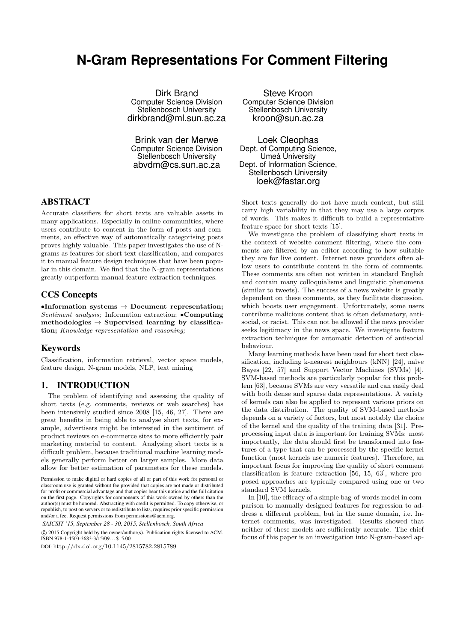# **N-Gram Representations For Comment Filtering**

Dirk Brand Computer Science Division Stellenbosch University dirkbrand@ml.sun.ac.za

Brink van der Merwe Computer Science Division Stellenbosch University abvdm@cs.sun.ac.za

## ABSTRACT

Accurate classifiers for short texts are valuable assets in many applications. Especially in online communities, where users contribute to content in the form of posts and comments, an effective way of automatically categorising posts proves highly valuable. This paper investigates the use of Ngrams as features for short text classification, and compares it to manual feature design techniques that have been popular in this domain. We find that the N-gram representations greatly outperform manual feature extraction techniques.

## CCS Concepts

*•***Information systems** *→* **Document representation;** *Sentiment analysis;* Information extraction; *•***Computing methodologies** *→* **Supervised learning by classification;** *Knowledge representation and reasoning;*

## Keywords

Classification, information retrieval, vector space models, feature design, N-gram models, NLP, text mining

#### 1. INTRODUCTION

The problem of identifying and assessing the quality of short texts (e.g. comments, reviews or web searches) has been intensively studied since 2008 [15, 46, 27]. There are great benefits in being able to analyse short texts, for example, advertisers might be interested in the sentiment of product reviews on e-commerce sites to more efficiently pair marketing material to content. Analysing short texts is a difficult problem, because traditional machine learning models generally perform better on larger samples. More data allow for better estimation of parameters for these models.

Permission to make digital or hard copies of all or part of this work for personal or classroom use is granted without fee provided that copies are not made or distributed for profit or commercial advantage and that copies bear this notice and the full citation on the first page. Copyrights for components of this work owned by others than the author(s) must be honored. Abstracting with credit is permitted. To copy otherwise, or republish, to post on servers or to redistribute to lists, requires prior specific permission and/or a fee. Request permissions from permissions@acm.org.

*SAICSIT '15, September 28 - 30, 2015, Stellenbosch, South Africa*

 $\circ$  2015 Copyright held by the owner/author(s). Publication rights licensed to ACM. ISBN 978-1-4503-3683-3/15/09. . . \$15.00

DOI: http://dx.doi.org/10.1145/2815782.2815789

Steve Kroon Computer Science Division Stellenbosch University kroon@sun.ac.za

Loek Cleophas Dept. of Computing Science, Umeå University Dept. of Information Science, Stellenbosch University loek@fastar.org

Short texts generally do not have much content, but still carry high variability in that they may use a large corpus of words. This makes it difficult to build a representative feature space for short texts [15].

We investigate the problem of classifying short texts in the context of website comment filtering, where the comments are filtered by an editor according to how suitable they are for live content. Internet news providers often allow users to contribute content in the form of comments. These comments are often not written in standard English and contain many colloquialisms and linguistic phenomena (similar to tweets). The success of a news website is greatly dependent on these comments, as they facilitate discussion, which boosts user engagement. Unfortunately, some users contribute malicious content that is often defamatory, antisocial, or racist. This can not be allowed if the news provider seeks legitimacy in the news space. We investigate feature extraction techniques for automatic detection of antisocial behaviour.

Many learning methods have been used for short text classification, including k-nearest neighbours  $(kNN)$  [24], naïve Bayes [22, 57] and Support Vector Machines (SVMs) [4]. SVM-based methods are particularly popular for this problem [63], because SVMs are very versatile and can easily deal with both dense and sparse data representations. A variety of kernels can also be applied to represent various priors on the data distribution. The quality of SVM-based methods depends on a variety of factors, but most notably the choice of the kernel and the quality of the training data [31]. Preprocessing input data is important for training SVMs: most importantly, the data should first be transformed into features of a type that can be processed by the specific kernel function (most kernels use numeric features). Therefore, an important focus for improving the quality of short comment classification is feature extraction [56, 15, 63], where proposed approaches are typically compared using one or two standard SVM kernels.

In [10], the efficacy of a simple bag-of-words model in comparison to manually designed features for regression to address a different problem, but in the same domain, i.e. Internet comments, was investigated. Results showed that neither of these models are sufficiently accurate. The chief focus of this paper is an investigation into N-gram-based ap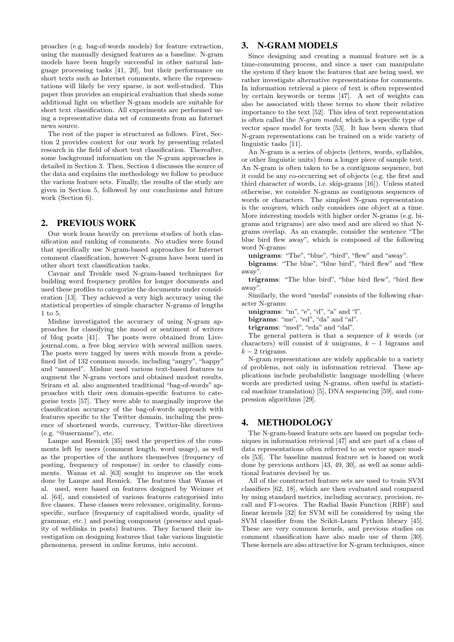proaches (e.g. bag-of-words models) for feature extraction, using the manually designed features as a baseline. N-gram models have been hugely successful in other natural language processing tasks [41, 20], but their performance on short texts such as Internet comments, where the representations will likely be very sparse, is not well-studied. This paper thus provides an empirical evaluation that sheds some additional light on whether N-gram models are suitable for short text classification. All experiments are performed using a representative data set of comments from an Internet news source.

The rest of the paper is structured as follows. First, Section 2 provides context for our work by presenting related research in the field of short text classification. Thereafter, some background information on the N-gram approaches is detailed in Section 3. Then, Section 4 discusses the source of the data and explains the methodology we follow to produce the various feature sets. Finally, the results of the study are given in Section 5, followed by our conclusions and future work (Section 6).

## 2. PREVIOUS WORK

Our work leans heavily on previous studies of both classification and ranking of comments. No studies were found that specifically use N-gram-based approaches for Internet comment classification, however N-grams have been used in other short text classification tasks.

Cavnar and Trenkle used N-gram-based techniques for building word frequency profiles for longer documents and used these profiles to categorize the documents under consideration [13]. They achieved a very high accuracy using the statistical properties of simple character N-grams of lengths 1 to 5.

Mishne investigated the accuracy of using N-gram approaches for classifying the mood or sentiment of writers of blog posts [41]. The posts were obtained from Livejournal.com, a free blog service with several million users. The posts were tagged by users with moods from a predefined list of 132 common moods, including "angry", "happy" and "amused". Mishne used various text-based features to augment the N-gram vectors and obtained modest results. Sriram et al. also augmented traditional "bag-of-words" approaches with their own domain-specific features to categorise texts [57]. They were able to marginally improve the classification accuracy of the bag-of-words approach with features specific to the Twitter domain, including the presence of shortened words, currency, Twitter-like directives (e.g. "@username"), etc.

Lampe and Resnick [35] used the properties of the comments left by users (comment length, word usage), as well as the properties of the authors themselves (frequency of posting, frequency of response) in order to classify comments. Wanas et al. [63] sought to improve on the work done by Lampe and Resnick. The features that Wanas et al. used, were based on features designed by Weimer et al. [64], and consisted of various features categorised into five classes. These classes were relevance, originality, forumspecific, surface (frequency of capitalised words, quality of grammar, etc.) and posting component (presence and quality of weblinks in posts) features. They focused their investigation on designing features that take various linguistic phenomena, present in online forums, into account.

## 3. N-GRAM MODELS

Since designing and creating a manual feature set is a time-consuming process, and since a user can manipulate the system if they know the features that are being used, we rather investigate alternative representations for comments. In information retrieval a piece of text is often represented by certain keywords or terms [47]. A set of weights can also be associated with these terms to show their relative importance to the text [52]. This idea of text representation is often called the *N-gram model*, which is a specific type of vector space model for texts [53]. It has been shown that N-gram representations can be trained on a wide variety of linguistic tasks [11].

An N-gram is a series of objects (letters, words, syllables, or other linguistic units) from a longer piece of sample text. An N-gram is often taken to be a contiguous sequence, but it could be any co-occurring set of objects (e.g. the first and third character of words, i.e. skip-grams [16]). Unless stated otherwise, we consider N-grams as contiguous sequences of words or characters. The simplest N-gram representation is the *unigram*, which only considers one object at a time. More interesting models with higher order N-grams (e.g. bigrams and trigrams) are also used and are sliced so that Ngrams overlap. As an example, consider the sentence "The blue bird flew away", which is composed of the following word N-grams:

**unigrams**: "The", "blue", "bird", "flew" and "away".

**bigrams**: "The blue", "blue bird", "bird flew" and "flew away".

**trigrams**: "The blue bird", "blue bird flew", "bird flew away".

Similarly, the word "medal" consists of the following character N-grams:

**unigrams**: "m", "e", "d", "a" and "l".

**bigrams**: "me", "ed", "da" and "al".

**trigrams**: "med", "eda" and "dal".

The general pattern is that a sequence of *k* words (or characters) will consist of *k* unigrams, *k −* 1 bigrams and *k −* 2 trigrams.

N-gram representations are widely applicable to a variety of problems, not only in information retrieval. These applications include probabilistic language modelling (where words are predicted using N-grams, often useful in statistical machine translation) [5], DNA sequencing [59], and compression algorithms [29].

## 4. METHODOLOGY

The N-gram-based feature sets are based on popular techniques in information retrieval [47] and are part of a class of data representations often referred to as vector space models [53]. The baseline manual feature set is based on work done by previous authors [43, 49, 30], as well as some additional features devised by us.

All of the constructed feature sets are used to train SVM classifiers [62, 18], which are then evaluated and compared by using standard metrics, including accuracy, precision, recall and F1-scores. The Radial Basis Function (RBF) and linear kernels [32] for SVM will be considered by using the SVM classifier from the Scikit-Learn Python library [45]. These are very common kernels, and previous studies on comment classification have also made use of them [30]. These kernels are also attractive for N-gram techniques, since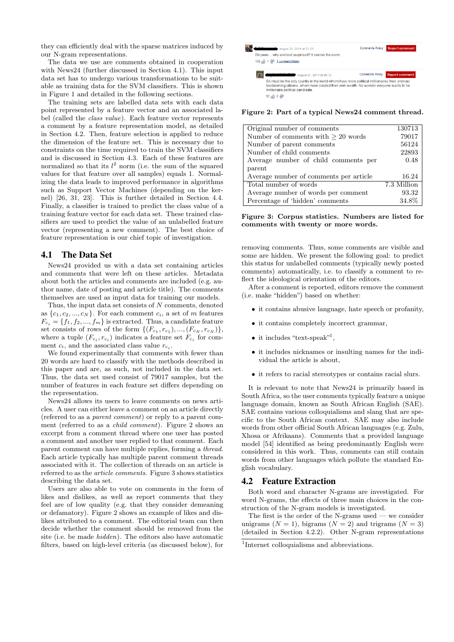they can efficiently deal with the sparse matrices induced by our N-gram representations.

The data we use are comments obtained in cooperation with News24 (further discussed in Section 4.1). This input data set has to undergo various transformations to be suitable as training data for the SVM classifiers. This is shown in Figure 1 and detailed in the following sections.

The training sets are labelled data sets with each data point represented by a feature vector and an associated label (called the *class value*). Each feature vector represents a comment by a feature representation model, as detailed in Section 4.2. Then, feature selection is applied to reduce the dimension of the feature set. This is necessary due to constraints on the time required to train the SVM classifiers and is discussed in Section 4.3. Each of these features are normalized so that its  $l^2$  norm (i.e. the sum of the squared values for that feature over all samples) equals 1. Normalizing the data leads to improved performance in algorithms such as Support Vector Machines (depending on the kernel) [26, 31, 23]. This is further detailed in Section 4.4. Finally, a classifier is trained to predict the class value of a training feature vector for each data set. These trained classifiers are used to predict the value of an unlabelled feature vector (representing a new comment). The best choice of feature representation is our chief topic of investigation.

## 4.1 The Data Set

News24 provided us with a data set containing articles and comments that were left on these articles. Metadata about both the articles and comments are included (e.g. author name, date of posting and article title). The comments themselves are used as input data for training our models.

Thus, the input data set consists of *N* comments, denoted as  $\{c_1, c_2, ..., c_N\}$ . For each comment  $c_i$ , a set of *m* features  $F_{c_i} = \{f_1, f_2, ..., f_m\}$  is extracted. Thus, a candidate feature set consists of rows of the form  $\{(F_{c_1}, r_{c_1}), ..., (F_{c_N}, r_{c_N})\},\$ where a tuple  $(F_{c_i}, r_{c_i})$  indicates a feature set  $F_{c_i}$  for comment  $c_i$ , and the associated class value  $r_{c_i}$ .

We found experimentally that comments with fewer than 20 words are hard to classify with the methods described in this paper and are, as such, not included in the data set. Thus, the data set used consist of 79017 samples, but the number of features in each feature set differs depending on the representation.

News24 allows its users to leave comments on news articles. A user can either leave a comment on an article directly (referred to as a *parent comment*) or reply to a parent comment (referred to as a *child comment*). Figure 2 shows an excerpt from a comment thread where one user has posted a comment and another user replied to that comment. Each parent comment can have multiple replies, forming a *thread*. Each article typically has multiple parent comment threads associated with it. The collection of threads on an article is referred to as the *article comments*. Figure 3 shows statistics describing the data set.

Users are also able to vote on comments in the form of likes and dislikes, as well as report comments that they feel are of low quality (e.g. that they consider demeaning or defamatory). Figure 2 shows an example of likes and dislikes attributed to a comment. The editorial team can then decide whether the comment should be removed from the site (i.e. be made *hidden*). The editors also have automatic filters, based on high-level criteria (as discussed below), for



**Figure 2: Part of a typical News24 comment thread.**

| Original number of comments             | 130713      |
|-----------------------------------------|-------------|
| Number of comments with $\geq 20$ words | 79017       |
| Number of parent comments               | 56124       |
| Number of child comments                | 22893       |
| Average number of child comments per    | 0.48        |
| parent                                  |             |
| Average number of comments per article  | 16.24       |
| Total number of words                   | 7.3 Million |
| Average number of words per comment     | 93.32       |
| Percentage of 'hidden' comments         | 34.8%       |

**Figure 3: Corpus statistics. Numbers are listed for comments with twenty or more words.**

removing comments. Thus, some comments are visible and some are hidden. We present the following goal: to predict this status for unlabelled comments (typically newly posted comments) automatically, i.e. to classify a comment to reflect the ideological orientation of the editors.

After a comment is reported, editors remove the comment (i.e. make "hidden") based on whether:

- *•* it contains abusive language, hate speech or profanity,
- it contains completely incorrect grammar,
- it includes "text-speak"<sup>1</sup>,
- *•* it includes nicknames or insulting names for the individual the article is about,
- it refers to racial stereotypes or contains racial slurs.

It is relevant to note that News24 is primarily based in South Africa, so the user comments typically feature a unique language domain, known as South African English (SAE). SAE contains various colloquialisms and slang that are specific to the South African context. SAE may also include words from other official South African languages (e.g. Zulu, Xhosa or Afrikaans). Comments that a provided language model [54] identified as being predominantly English were considered in this work. Thus, comments can still contain words from other languages which pollute the standard English vocabulary.

## 4.2 Feature Extraction

Both word and character N-grams are investigated. For word N-grams, the effects of three main choices in the construction of the N-gram models is investigated.

The first is the order of the N-grams used — we consider unigrams  $(N = 1)$ , bigrams  $(N = 2)$  and trigrams  $(N = 3)$ (detailed in Section 4.2.2). Other N-gram representations

<sup>&</sup>lt;sup>1</sup>Internet colloquialisms and abbreviations.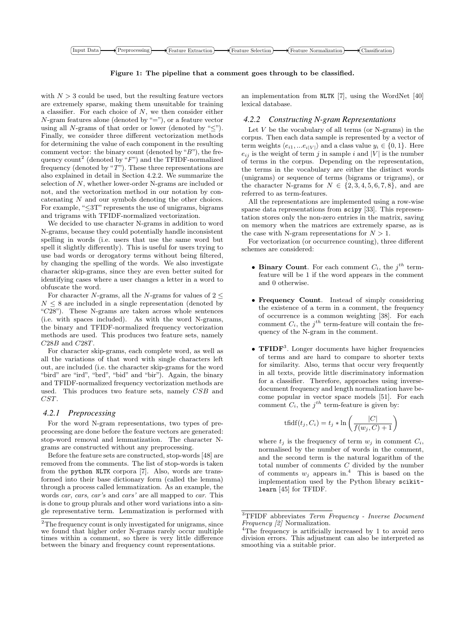

**Figure 1: The pipeline that a comment goes through to be classified.**

with  $N > 3$  could be used, but the resulting feature vectors are extremely sparse, making them unsuitable for training a classifier. For each choice of *N*, we then consider either *N*-gram features alone (denoted by "="), or a feature vector using all *N*-grams of that order or lower (denoted by "*≤*"). Finally, we consider three different vectorization methods for determining the value of each component in the resulting comment vector: the binary count (denoted by "*B*"), the frequency count<sup>2</sup> (denoted by "*F*") and the TFIDF-normalized frequency (denoted by "*T*"). These three representations are also explained in detail in Section 4.2.2. We summarize the selection of *N*, whether lower-order N-grams are included or not, and the vectorization method in our notation by concatenating *N* and our symbols denoting the other choices. For example, "*≤*3T" represents the use of unigrams, bigrams and trigrams with TFIDF-normalized vectorization.

We decided to use character N-grams in addition to word N-grams, because they could potentially handle inconsistent spelling in words (i.e. users that use the same word but spell it slightly differently). This is useful for users trying to use bad words or derogatory terms without being filtered, by changing the spelling of the words. We also investigate character skip-grams, since they are even better suited for identifying cases where a user changes a letter in a word to obfuscate the word.

For character *N*-grams, all the *N*-grams for values of  $2 \leq$  $N \leq 8$  are included in a single representation (denoted by "*C*28"). These N-grams are taken across whole sentences (i.e. with spaces included). As with the word N-grams, the binary and TFIDF-normalized frequency vectorization methods are used. This produces two feature sets, namely *C*28*B* and *C*28*T*.

For character skip-grams, each complete word, as well as all the variations of that word with single characters left out, are included (i.e. the character skip-grams for the word "bird" are "ird", "brd", "bid" and "bir"). Again, the binary and TFIDF-normalized frequency vectorization methods are used. This produces two feature sets, namely *CSB* and *CST*.

#### *4.2.1 Preprocessing*

For the word N-gram representations, two types of preprocessing are done before the feature vectors are generated: stop-word removal and lemmatization. The character Ngrams are constructed without any preprocessing.

Before the feature sets are constructed, stop-words [48] are removed from the comments. The list of stop-words is taken from the python NLTK corpora [7]. Also, words are transformed into their base dictionary form (called the lemma) through a process called lemmatization. As an example, the words *car*, *cars*, *car's* and *cars'* are all mapped to *car*. This is done to group plurals and other word variations into a single representative term. Lemmatization is performed with

an implementation from NLTK [7], using the WordNet [40] lexical database.

#### *4.2.2 Constructing N-gram Representations*

Let *V* be the vocabulary of all terms (or N-grams) in the corpus. Then each data sample is represented by a vector of term weights  $\langle e_{i1}, \ldots e_{i|V|} \rangle$  and a class value  $y_i \in \{0, 1\}$ . Here  $e_{ij}$  is the weight of term *j* in sample *i* and  $|V|$  is the number of terms in the corpus. Depending on the representation, the terms in the vocabulary are either the distinct words (unigrams) or sequence of terms (bigrams or trigrams), or the character N-grams for  $N \in \{2, 3, 4, 5, 6, 7, 8\}$ , and are referred to as term-features.

All the representations are implemented using a row-wise sparse data representations from scipy [33]. This representation stores only the non-zero entries in the matrix, saving on memory when the matrices are extremely sparse, as is the case with N-gram representations for  $N > 1$ .

For vectorization (or occurrence counting), three different schemes are considered:

- **Binary Count**. For each comment  $C_i$ , the  $j^{th}$  termfeature will be 1 if the word appears in the comment and 0 otherwise.
- *•* **Frequency Count**. Instead of simply considering the existence of a term in a comment, the frequency of occurrence is a common weighting [38]. For each comment  $C_i$ , the  $j^{th}$  term-feature will contain the frequency of the N-gram in the comment.
- **TFIDF**<sup>3</sup>. Longer documents have higher frequencies of terms and are hard to compare to shorter texts for similarity. Also, terms that occur very frequently in all texts, provide little discriminatory information for a classifier. Therefore, approaches using inversedocument frequency and length normalization have become popular in vector space models [51]. For each comment  $C_i$ , the  $j<sup>th</sup>$  term-feature is given by:

$$
tfidf(t_j, C_i) = t_j * \ln\left(\frac{|C|}{f(w_j, C) + 1}\right)
$$

where  $t_j$  is the frequency of term  $w_j$  in comment  $C_i$ , normalised by the number of words in the comment, and the second term is the natural logarithm of the total number of comments *C* divided by the number of comments  $w_i$  appears in.<sup>4</sup> This is based on the implementation used by the Python library scikitlearn [45] for TFIDF.

<sup>&</sup>lt;sup>2</sup>The frequency count is only investigated for unigrams, since we found that higher order N-grams rarely occur multiple times within a comment, so there is very little difference between the binary and frequency count representations.

<sup>3</sup>TFIDF abbreviates *Term Frequency - Inverse Document Frequency [2]* Normalization.

<sup>&</sup>lt;sup>4</sup>The frequency is artificially increased by 1 to avoid zero division errors. This adjustment can also be interpreted as smoothing via a suitable prior.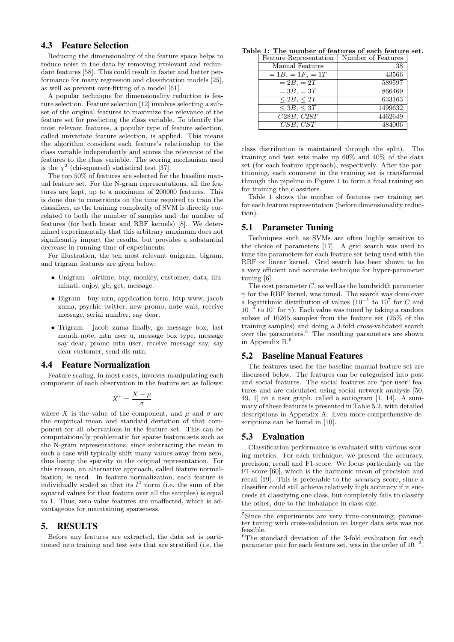## 4.3 Feature Selection

Reducing the dimensionality of the feature space helps to reduce noise in the data by removing irrelevant and redundant features [58]. This could result in faster and better performance for many regression and classification models [25], as well as prevent over-fitting of a model [61].

A popular technique for dimensionality reduction is feature selection. Feature selection [12] involves selecting a subset of the original features to maximize the relevance of the feature set for predicting the class variable. To identify the most relevant features, a popular type of feature selection, called univariate feature selection, is applied. This means the algorithm considers each feature's relationship to the class variable independently and scores the relevance of the features to the class variable. The scoring mechanism used is the  $\chi^2$  (chi-squared) statistical test [37].

The top 50% of features are selected for the baseline manual feature set. For the N-gram representations, all the features are kept, up to a maximum of 200000 features. This is done due to constraints on the time required to train the classifiers, as the training complexity of SVM is directly correlated to both the number of samples and the number of features (for both linear and RBF kernels) [8]. We determined experimentally that this arbitrary maximum does not significantly impact the results, but provides a substantial decrease in running time of experiments.

For illustration, the ten most relevant unigram, bigram, and trigram features are given below:

- *•* Unigram airtime, buy, monkey, customer, data, illuminati, enjoy, gb, get, message.
- Bigram buy mtn, application form, http www, jacob zuma, psychic twitter, new promo, note wait, receive message, serial number, say dear.
- *•* Trigram jacob zuma finally, go message box, last month note, mtn user u, message box type, message say dear, promo mtn user, receive message say, say dear customer, send dis mtn.

#### 4.4 Feature Normalization

Feature scaling, in most cases, involves manipulating each component of each observation in the feature set as follows:

$$
X^* = \frac{X - \mu}{\sigma}
$$

where *X* is the value of the component, and  $\mu$  and  $\sigma$  are the empirical mean and standard deviation of that component for all obervations in the feature set. This can be computationally problematic for sparse feature sets such as the N-gram representations, since subtracting the mean in such a case will typically shift many values away from zero, thus losing the sparsity in the original representation. For this reason, an alternative approach, called feature normalization, is used. In feature normalization, each feature is individually scaled so that its  $l^2$  norm (i.e. the sum of the squared values for that feature over all the samples) is equal to 1. Thus, zero value features are unaffected, which is advantageous for maintaining sparseness.

#### 5. RESULTS

Before any features are extracted, the data set is partitioned into training and test sets that are stratified (i.e. the

**Table 1: The number of features of each feature set.**

| Feature Representation              | Number of Features |
|-------------------------------------|--------------------|
| Manual Features                     | 38                 |
| $= 1B, = 1F, = 1T$                  | 43566              |
| $=\overline{2B}$ , $=\overline{2T}$ | 589597             |
| $= 3B, = 3T$                        | 866469             |
| $\leq$ 2B, $\leq$ 2T                | 633163             |
| ${}<3B,{}<3T$                       | 1499632            |
| C28B, C28T                          | 4462649            |
| $CSB, \, CST$                       | 484006             |

class distribution is maintained through the split). The training and test sets make up 60% and 40% of the data set (for each feature approach), respectively. After the partitioning, each comment in the training set is transformed through the pipeline in Figure 1 to form a final training set for training the classifiers.

Table 1 shows the number of features per training set for each feature representation (before dimensionality reduction).

#### 5.1 Parameter Tuning

Techniques such as SVMs are often highly sensitive to the choice of parameters [17]. A grid search was used to tune the parameters for each feature set being used with the RBF or linear kernel. Grid search has been shown to be a very efficient and accurate technique for hyper-parameter tuning [6].

The cost parameter *C*, as well as the bandwidth parameter *γ* for the RBF kernel, was tuned. The search was done over a logarithmic distribution of values (10*−*<sup>1</sup> to 10<sup>7</sup> for *C* and  $10^{-4}$  to  $10^{1}$  for  $\gamma$ ). Each value was tuned by taking a random subset of 10265 samples from the feature set (25% of the training samples) and doing a 3-fold cross-validated search over the parameters.<sup>5</sup> The resulting parameters are shown in Appendix  $\rm B.^6$ 

## 5.2 Baseline Manual Features

The features used for the baseline manual feature set are discussed below. The features can be categorised into post and social features. The social features are "per-user" features and are calculated using social network analysis [50, 49, 1] on a user graph, called a sociogram [1, 14]. A summary of these features is presented in Table 5.2, with detailed descriptions in Appendix A. Even more comprehensive descriptions can be found in [10].

## 5.3 Evaluation

Classification performance is evaluated with various scoring metrics. For each technique, we present the accuracy, precision, recall and F1-score. We focus particularly on the F1-score [60], which is the harmonic mean of precision and recall [19]. This is preferable to the *accuracy* score, since a classifier could still achieve relatively high accuracy if it succeeds at classifying one class, but completely fails to classify the other, due to the imbalance in class size.

<sup>5</sup>Since the experiments are very time-consuming, parameter tuning with cross-validation on larger data sets was not feasible.

 ${}^{6}$ The standard deviation of the 3-fold evaluation for each parameter pair for each feature set, was in the order of 10*−*<sup>3</sup> .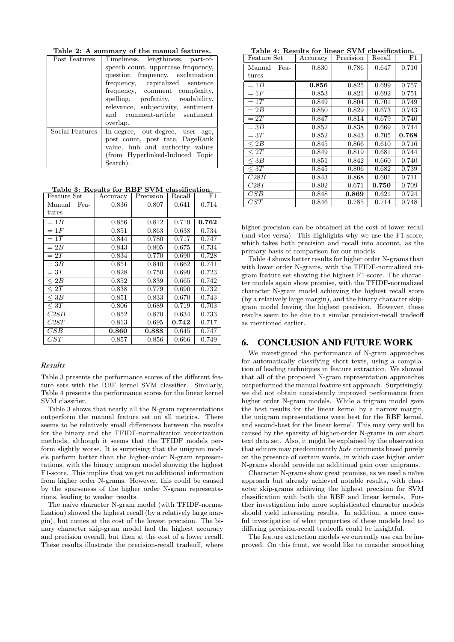**Table 2: A summary of the manual features.**

| Post Features   | Timeliness, lengthiness, part-of-  |
|-----------------|------------------------------------|
|                 | speech count, uppercase frequency, |
|                 | question frequency, exclamation    |
|                 | frequency, capitalized sentence    |
|                 | frequency, comment complexity,     |
|                 | spelling, profanity, readability,  |
|                 | relevance, subjectivity, sentiment |
|                 | and comment-article sentiment      |
|                 | overlap.                           |
| Social Features | In-degree, out-degree, user age,   |
|                 | post count, post rate, PageRank    |
|                 | value, hub and authority values    |
|                 | (from Hyperlinked-Induced Topic    |
|                 | Search).                           |

**Table 3: Results for RBF SVM classification.**

| Feature Set    | Accuracy | Precision | Recall | $_{\rm F1}$ |
|----------------|----------|-----------|--------|-------------|
| Manual<br>Fea- | 0.836    | 0.807     | 0.641  | 0.714       |
| tures          |          |           |        |             |
| $=1B$          | 0.856    | 0.812     | 0.719  | 0.762       |
| $=1F$          | 0.851    | 0.863     | 0.638  | 0.734       |
| $=1T$          | 0.844    | 0.780     | 0.717  | 0.747       |
| $=2B$          | 0.843    | 0.805     | 0.675  | 0.734       |
| $=2T$          | 0.834    | 0.770     | 0.690  | 0.728       |
| $=3B$          | 0.851    | 0.840     | 0.662  | 0.741       |
| $=3T$          | 0.828    | 0.750     | 0.699  | 0.723       |
| $\leq 2B$      | 0.852    | 0.839     | 0.665  | 0.742       |
| $\leq 2T$      | 0.838    | 0.779     | 0.690  | 0.732       |
| $<$ 3 $B$      | 0.851    | 0.833     | 0.670  | 0.743       |
| $\leq 3T$      | 0.806    | 0.689     | 0.719  | 0.703       |
| C28B           | 0.852    | 0.870     | 0.634  | 0.733       |
| C28T           | 0.813    | 0.695     | 0.742  | 0.717       |
| CSB            | 0.860    | 0.888     | 0.645  | 0.747       |
| CST            | 0.857    | 0.856     | 0.666  | 0.749       |

#### *Results*

Table 3 presents the performance scores of the different feature sets with the RBF kernel SVM classifier. Similarly, Table 4 presents the performance scores for the linear kernel SVM classifier.

Table 3 shows that nearly all the N-gram representations outperform the manual feature set on all metrics. There seems to be relatively small differences between the results for the binary and the TFIDF-normalization vectorization methods, although it seems that the TFIDF models perform slightly worse. It is surprising that the unigram models perform better than the higher-order N-gram representations, with the binary unigram model showing the highest F1-score. This implies that we get no additional information from higher order N-grams. However, this could be caused by the sparseness of the higher order N-gram representations, leading to weaker results.

The naïve character N-gram model (with TFIDF-normalization) showed the highest recall (by a relatively large margin), but comes at the cost of the lowest precision. The binary character skip-gram model had the highest accuracy and precision overall, but then at the cost of a lower recall. These results illustrate the precision-recall tradeoff, where

**Table 4: Results for linear SVM classification.**

| tupio<br>Feature Set | THE TOOD TO TOT<br>Accuracy | -----------<br><u>U 111</u><br>Precision | 010001110010111<br>Recall | $_{\rm F1}$ |
|----------------------|-----------------------------|------------------------------------------|---------------------------|-------------|
| Manual<br>Fea-       | 0.830                       | 0.786                                    | 0.647                     | 0.710       |
| tures                |                             |                                          |                           |             |
| $=1B$                | 0.856                       | 0.825                                    | 0.699                     | 0.757       |
| $=1F$                | 0.853                       | 0.821                                    | 0.692                     | 0.751       |
| $=1T$                | 0.849                       | 0.804                                    | 0.701                     | 0.749       |
| $=2B$                | 0.850                       | 0.829                                    | 0.673                     | 0.743       |
| $=2T$                | 0.847                       | 0.814                                    | 0.679                     | 0.740       |
| $=3B$                | 0.852                       | 0.838                                    | 0.669                     | 0.744       |
| $=3T$                | 0.852                       | 0.843                                    | 0.705                     | $\,0.768\,$ |
| $\leq 2B$            | 0.845                       | 0.866                                    | 0.610                     | 0.716       |
| $\leq 2T$            | 0.849                       | 0.819                                    | 0.681                     | 0.744       |
| $\leq 3B$            | 0.851                       | 0.842                                    | 0.660                     | 0.740       |
| $\leq 3T$            | 0.845                       | 0.806                                    | 0.682                     | 0.739       |
| C28B                 | 0.843                       | 0.868                                    | 0.601                     | 0.711       |
| C28T                 | 0.802                       | 0.671                                    | 0.750                     | 0.709       |
| CSB                  | 0.848                       | 0.869                                    | 0.621                     | 0.724       |
| CST                  | 0.846                       | 0.785                                    | 0.714                     | 0.748       |

higher precision can be obtained at the cost of lower recall (and vice versa). This highlights why we use the F1 score, which takes both precision and recall into account, as the primary basis of comparison for our models.

Table 4 shows better results for higher order N-grams than with lower order N-grams, with the TFIDF-normalized trigram feature set showing the highest F1-score. The character models again show promise, with the TFIDF-normalized character N-gram model achieving the highest recall score (by a relatively large margin), and the binary character skipgram model having the highest precision. However, these results seem to be due to a similar precision-recall tradeoff as mentioned earlier.

## 6. CONCLUSION AND FUTURE WORK

We investigated the performance of N-gram approaches for automatically classifying short texts, using a compilation of leading techniques in feature extraction. We showed that all of the proposed N-gram representation approaches outperformed the manual feature set approach. Surprisingly, we did not obtain consistently improved performance from higher order N-gram models. While a trigram model gave the best results for the linear kernel by a narrow margin, the unigram representations were best for the RBF kernel, and second-best for the linear kernel. This may very well be caused by the sparsity of higher-order N-grams in our short text data set. Also, it might be explained by the observation that editors may predominantly *hide* comments based purely on the presence of certain words, in which case higher order N-grams should provide no additional gain over unigrams.

Character N-grams show great promise, as we used a naïve approach but already achieved notable results, with character skip-grams achieving the highest precision for SVM classification with both the RBF and linear kernels. Further investigation into more sophisticated character models should yield interesting results. In addition, a more careful investigation of what properties of these models lead to differing precision-recall tradeoffs could be insightful.

The feature extraction models we currently use can be improved. On this front, we would like to consider smoothing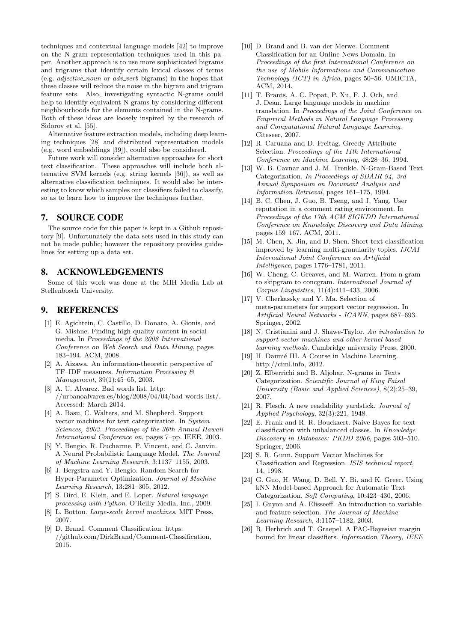techniques and contextual language models [42] to improve on the N-gram representation techniques used in this paper. Another approach is to use more sophisticated bigrams and trigrams that identify certain lexical classes of terms (e.g. *adjective noun* or *adv verb* bigrams) in the hopes that these classes will reduce the noise in the bigram and trigram feature sets. Also, investigating syntactic N-grams could help to identify equivalent N-grams by considering different neighbourhoods for the elements contained in the N-grams. Both of these ideas are loosely inspired by the research of Sidorov et al. [55].

Alternative feature extraction models, including deep learning techniques [28] and distributed representation models (e.g. word embeddings [39]), could also be considered.

Future work will consider alternative approaches for short text classification. These approaches will include both alternative SVM kernels (e.g. string kernels [36]), as well as alternative classification techniques. It would also be interesting to know which samples our classifiers failed to classify, so as to learn how to improve the techniques further.

## 7. SOURCE CODE

The source code for this paper is kept in a Github repository [9]. Unfortunately the data sets used in this study can not be made public; however the repository provides guidelines for setting up a data set.

## 8. ACKNOWLEDGEMENTS

Some of this work was done at the MIH Media Lab at Stellenbosch University.

## 9. REFERENCES

- [1] E. Agichtein, C. Castillo, D. Donato, A. Gionis, and G. Mishne. Finding high-quality content in social media. In *Proceedings of the 2008 International Conference on Web Search and Data Mining*, pages 183–194. ACM, 2008.
- [2] A. Aizawa. An information-theoretic perspective of TF–IDF measures. *Information Processing & Management*, 39(1):45–65, 2003.
- [3] A. U. Alvarez. Bad words list. http: //urbanoalvarez.es/blog/2008/04/04/bad-words-list/. Accessed: March 2014.
- [4] A. Basu, C. Walters, and M. Shepherd. Support vector machines for text categorization. In *System Sciences, 2003. Proceedings of the 36th Annual Hawaii International Conference on*, pages 7–pp. IEEE, 2003.
- [5] Y. Bengio, R. Ducharme, P. Vincent, and C. Janvin. A Neural Probabilistic Language Model. *The Journal of Machine Learning Research*, 3:1137–1155, 2003.
- [6] J. Bergstra and Y. Bengio. Random Search for Hyper-Parameter Optimization. *Journal of Machine Learning Research*, 13:281–305, 2012.
- [7] S. Bird, E. Klein, and E. Loper. *Natural language processing with Python*. O'Reilly Media, Inc., 2009.
- [8] L. Bottou. *Large-scale kernel machines*. MIT Press, 2007.
- [9] D. Brand. Comment Classification. https: //github.com/DirkBrand/Comment-Classification, 2015.
- [10] D. Brand and B. van der Merwe. Comment Classification for an Online News Domain. In *Proceedings of the first International Conference on the use of Mobile Informations and Communication Technology (ICT) in Africa*, pages 50–56. UMICTA, ACM, 2014.
- [11] T. Brants, A. C. Popat, P. Xu, F. J. Och, and J. Dean. Large language models in machine translation. In *Proceedings of the Joint Conference on Empirical Methods in Natural Language Processing and Computational Natural Language Learning*. Citeseer, 2007.
- [12] R. Caruana and D. Freitag. Greedy Attribute Selection. *Proceedings of the 11th International Conference on Machine Learning*, 48:28–36, 1994.
- [13] W. B. Cavnar and J. M. Trenkle. N-Gram-Based Text Categorization. *In Proceedings of SDAIR-94, 3rd Annual Symposium on Document Analysis and Information Retrieval*, pages 161–175, 1994.
- [14] B. C. Chen, J. Guo, B. Tseng, and J. Yang. User reputation in a comment rating environment. In *Proceedings of the 17th ACM SIGKDD International Conference on Knowledge Discovery and Data Mining*, pages 159–167. ACM, 2011.
- [15] M. Chen, X. Jin, and D. Shen. Short text classification improved by learning multi-granularity topics. *IJCAI International Joint Conference on Artificial Intelligence*, pages 1776–1781, 2011.
- [16] W. Cheng, C. Greaves, and M. Warren. From n-gram to skipgram to concgram. *International Journal of Corpus Linguistics*, 11(4):411–433, 2006.
- [17] V. Cherkassky and Y. Ma. Selection of meta-parameters for support vector regression. In *Artificial Neural Networks - ICANN*, pages 687–693. Springer, 2002.
- [18] N. Cristianini and J. Shawe-Taylor. *An introduction to support vector machines and other kernel-based learning methods*. Cambridge university Press, 2000.
- [19] H. Daumé III. A Course in Machine Learning. http://ciml.info, 2012.
- [20] Z. Elberrichi and B. Aljohar. N-grams in Texts Categorization. *Scientific Journal of King Faisal University (Basic and Applied Sciences)*, 8(2):25–39, 2007.
- [21] R. Flesch. A new readability yardstick. *Journal of Applied Psychology*, 32(3):221, 1948.
- [22] E. Frank and R. R. Bouckaert. Naive Bayes for text classification with unbalanced classes. In *Knowledge Discovery in Databases: PKDD 2006*, pages 503–510. Springer, 2006.
- [23] S. R. Gunn. Support Vector Machines for Classification and Regression. *ISIS technical report*, 14, 1998.
- [24] G. Guo, H. Wang, D. Bell, Y. Bi, and K. Greer. Using kNN Model-based Approach for Automatic Text Categorization. *Soft Computing*, 10:423–430, 2006.
- [25] I. Guyon and A. Elisseeff. An introduction to variable and feature selection. *The Journal of Machine Learning Research*, 3:1157–1182, 2003.
- [26] R. Herbrich and T. Graepel. A PAC-Bayesian margin bound for linear classifiers. *Information Theory, IEEE*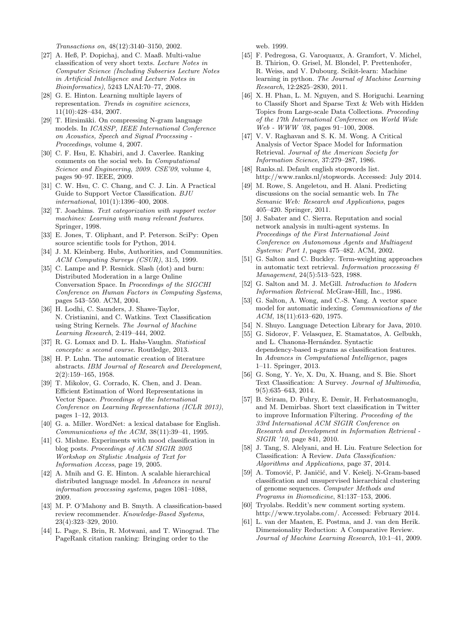*Transactions on*, 48(12):3140–3150, 2002.

- [27] A. Heß, P. Dopichaj, and C. Maaß. Multi-value classification of very short texts. *Lecture Notes in Computer Science (Including Subseries Lecture Notes in Artificial Intelligence and Lecture Notes in Bioinformatics)*, 5243 LNAI:70–77, 2008.
- [28] G. E. Hinton. Learning multiple layers of representation. *Trends in cognitive sciences*, 11(10):428–434, 2007.
- [29] T. Hirsimäki. On compressing N-gram language models. In *ICASSP, IEEE International Conference on Acoustics, Speech and Signal Processing - Proceedings*, volume 4, 2007.
- [30] C. F. Hsu, E. Khabiri, and J. Caverlee. Ranking comments on the social web. In *Computational Science and Engineering, 2009. CSE'09*, volume 4, pages 90–97. IEEE, 2009.
- [31] C. W. Hsu, C. C. Chang, and C. J. Lin. A Practical Guide to Support Vector Classification. *BJU international*, 101(1):1396–400, 2008.
- [32] T. Joachims. *Text categorization with support vector machines: Learning with many relevant features*. Springer, 1998.
- [33] E. Jones, T. Oliphant, and P. Peterson. SciPy: Open source scientific tools for Python, 2014.
- [34] J. M. Kleinberg. Hubs, Authorities, and Communities. *ACM Computing Surveys (CSUR)*, 31:5, 1999.
- [35] C. Lampe and P. Resnick. Slash (dot) and burn: Distributed Moderation in a large Online Conversation Space. In *Proceedings of the SIGCHI Conference on Human Factors in Computing Systems*, pages 543–550. ACM, 2004.
- [36] H. Lodhi, C. Saunders, J. Shawe-Taylor, N. Cristianini, and C. Watkins. Text Classification using String Kernels. *The Journal of Machine Learning Research*, 2:419–444, 2002.
- [37] R. G. Lomax and D. L. Hahs-Vaughn. *Statistical concepts: a second course*. Routledge, 2013.
- [38] H. P. Luhn. The automatic creation of literature abstracts. *IBM Journal of Research and Development*, 2(2):159–165, 1958.
- [39] T. Mikolov, G. Corrado, K. Chen, and J. Dean. Efficient Estimation of Word Representations in Vector Space. *Proceedings of the International Conference on Learning Representations (ICLR 2013)*, pages 1–12, 2013.
- [40] G. a. Miller. WordNet: a lexical database for English. *Communications of the ACM*, 38(11):39–41, 1995.
- [41] G. Mishne. Experiments with mood classification in blog posts. *Proceedings of ACM SIGIR 2005 Workshop on Stylistic Analysis of Text for Information Access*, page 19, 2005.
- [42] A. Mnih and G. E. Hinton. A scalable hierarchical distributed language model. In *Advances in neural information processing systems*, pages 1081–1088, 2009.
- [43] M. P. O'Mahony and B. Smyth. A classification-based review recommender. *Knowledge-Based Systems*, 23(4):323–329, 2010.
- [44] L. Page, S. Brin, R. Motwani, and T. Winograd. The PageRank citation ranking: Bringing order to the

web. 1999.

- [45] F. Pedregosa, G. Varoquaux, A. Gramfort, V. Michel, B. Thirion, O. Grisel, M. Blondel, P. Prettenhofer, R. Weiss, and V. Dubourg. Scikit-learn: Machine learning in python. *The Journal of Machine Learning Research*, 12:2825–2830, 2011.
- [46] X. H. Phan, L. M. Nguyen, and S. Horiguchi. Learning to Classify Short and Sparse Text & Web with Hidden Topics from Large-scale Data Collections. *Proceeding of the 17th International Conference on World Wide Web - WWW '08*, pages 91–100, 2008.
- [47] V. V. Raghavan and S. K. M. Wong. A Critical Analysis of Vector Space Model for Information Retrieval. *Journal of the American Society for Information Science*, 37:279–287, 1986.
- [48] Ranks.nl. Default english stopwords list. http://www.ranks.nl/stopwords. Accessed: July 2014.
- [49] M. Rowe, S. Angeletou, and H. Alani. Predicting discussions on the social semantic web. In *The Semanic Web: Research and Applications*, pages 405–420. Springer, 2011.
- [50] J. Sabater and C. Sierra. Reputation and social network analysis in multi-agent systems. In *Proceedings of the First International Joint Conference on Autonomous Agents and Multiagent Systems: Part 1*, pages 475–482. ACM, 2002.
- [51] G. Salton and C. Buckley. Term-weighting approaches in automatic text retrieval. *Information processing & Management*, 24(5):513–523, 1988.
- [52] G. Salton and M. J. McGill. *Introduction to Modern Information Retrieval*. McGraw-Hill, Inc., 1986.
- [53] G. Salton, A. Wong, and C.-S. Yang. A vector space model for automatic indexing. *Communications of the ACM*, 18(11):613–620, 1975.
- [54] N. Shuyo. Language Detection Library for Java, 2010.
- [55] G. Sidorov, F. Velasquez, E. Stamatatos, A. Gelbukh, and L. Chanona-Hernández. Syntactic dependency-based n-grams as classification features. In *Advances in Computational Intelligence*, pages 1–11. Springer, 2013.
- [56] G. Song, Y. Ye, X. Du, X. Huang, and S. Bie. Short Text Classification: A Survey. *Journal of Multimedia*, 9(5):635–643, 2014.
- [57] B. Sriram, D. Fuhry, E. Demir, H. Ferhatosmanoglu, and M. Demirbas. Short text classification in Twitter to improve Information Filtering. *Proceeding of the 33rd International ACM SIGIR Conference on Research and Development in Information Retrieval - SIGIR '10*, page 841, 2010.
- [58] J. Tang, S. Alelyani, and H. Liu. Feature Selection for Classification: A Review. *Data Classification: Algorithms and Applications*, page 37, 2014.
- [59] A. Tomović, P. Janičić, and V. Kešelj. N-Gram-based classification and unsupervised hierarchical clustering of genome sequences. *Computer Methods and Programs in Biomedicine*, 81:137–153, 2006.
- [60] Tryolabs. Reddit's new comment sorting system. http://www.tryolabs.com/. Accessed: February 2014.
- [61] L. van der Maaten, E. Postma, and J. van den Herik. Dimensionality Reduction: A Comparative Review. *Journal of Machine Learning Research*, 10:1–41, 2009.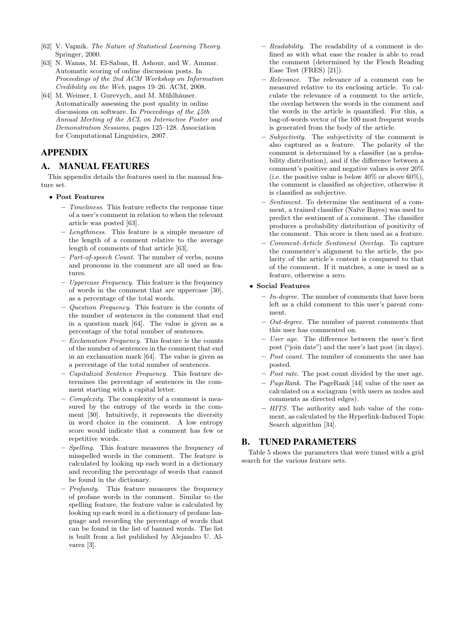- [62] V. Vapnik. *The Nature of Statistical Learning Theory*. Springer, 2000.
- [63] N. Wanas, M. El-Saban, H. Ashour, and W. Ammar. Automatic scoring of online discussion posts. In *Proceedings of the 2nd ACM Workshop on Information Credibility on the Web*, pages 19–26. ACM, 2008.
- [64] M. Weimer, I. Gurevych, and M. Mühlhäuser. Automatically assessing the post quality in online discussions on software. In *Proceedings of the 45th Annual Meeting of the ACL on Interactive Poster and Demonstration Sessions*, pages 125–128. Association for Computational Linguistics, 2007.

# APPENDIX

## A. MANUAL FEATURES

This appendix details the features used in the manual feature set.

#### *•* **Post Features**

- **–** *Timeliness*. This feature reflects the response time of a user's comment in relation to when the relevant article was posted [63].
- **–** *Lengthiness*. This feature is a simple measure of the length of a comment relative to the average length of comments of that article [63].
- **–** *Part-of-speech Count*. The number of verbs, nouns and pronouns in the comment are all used as features.
- **–** *Uppercase Frequency*. This feature is the frequency of words in the comment that are uppercase [30], as a percentage of the total words.
- **–** *Question Frequency*. This feature is the counts of the number of sentences in the comment that end in a question mark [64]. The value is given as a percentage of the total number of sentences.
- **–** *Exclamation Frequency*. This feature is the counts of the number of sentences in the comment that end in an exclamation mark [64]. The value is given as a percentage of the total number of sentences.
- **–** *Capitalized Sentence Frequency*. This feature determines the percentage of sentences in the comment starting with a capital letter.
- **–** *Complexity*. The complexity of a comment is measured by the entropy of the words in the comment [30]. Intuitively, it represents the diversity in word choice in the comment. A low entropy score would indicate that a comment has few or repetitive words.
- **–** *Spelling*. This feature measures the frequency of misspelled words in the comment. The feature is calculated by looking up each word in a dictionary and recording the percentage of words that cannot be found in the dictionary.
- **–** *Profanity*. This feature measures the frequency of profane words in the comment. Similar to the spelling feature, the feature value is calculated by looking up each word in a dictionary of profane language and recording the percentage of words that can be found in the list of banned words. The list is built from a list published by Alejandro U. Alvarez [3].
- **–** *Readability*. The readability of a comment is defined as with what ease the reader is able to read the comment (determined by the Flesch Reading Ease Test (FRES) [21]).
- **–** *Relevance*. The relevance of a comment can be measured relative to its enclosing article. To calculate the relevance of a comment to the article, the overlap between the words in the comment and the words in the article is quantified. For this, a bag-of-words vector of the 100 most frequent words is generated from the body of the article.
- **–** *Subjectivity*. The subjectivity of the comment is also captured as a feature. The polarity of the comment is determined by a classifier (as a probability distribution), and if the difference between a comment's positive and negative values is over 20% (i.e. the positive value is below  $40\%$  or above  $60\%$ ), the comment is classified as objective, otherwise it is classified as subjective.
- **–** *Sentiment*. To determine the sentiment of a comment, a trained classifier (Naïve Bayes) was used to predict the sentiment of a comment. The classifier produces a probability distribution of positivity of the comment. This score is then used as a feature.
- **–** *Comment-Article Sentiment Overlap*. To capture the commenter's alignment to the article, the polarity of the article's content is compared to that of the comment. If it matches, a one is used as a feature, otherwise a zero.

## *•* **Social Features**

- **–** *In-degree*. The number of comments that have been left as a child comment to this user's parent comment.
- **–** *Out-degree*. The number of parent comments that this user has commented on.
- **–** *User age*. The difference between the user's first post ("join date") and the user's last post (in days).
- **–** *Post count*. The number of comments the user has posted.
- **–** *Post rate*. The post count divided by the user age.
- **–** *PageRank*. The PageRank [44] value of the user as calculated on a sociagram (with users as nodes and comments as directed edges).
- **–** *HITS*. The authority and hub value of the comment, as calculated by the Hyperlink-Induced Topic Search algorithm [34].

# B. TUNED PARAMETERS

Table 5 shows the parameters that were tuned with a grid search for the various feature sets.